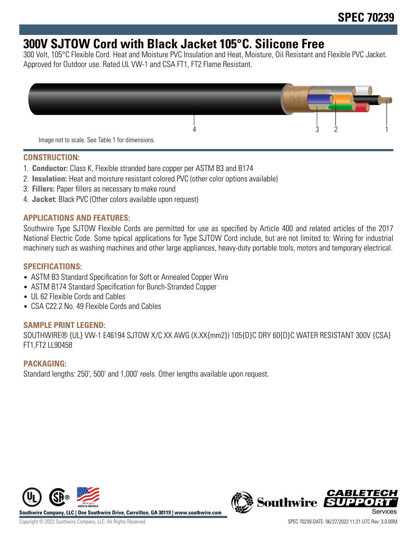# **300V SJTOW Cord with Black Jacket 105°C. Silicone Free**

300 Volt, 105°C Flexible Cord. Heat and Moisture PVC Insulation and Heat, Moisture, Oil Resistant and Flexible PVC Jacket. Approved for Outdoor use. Rated UL VW-1 and CSA FT1, FT2 Flame Resistant.



Image not to scale. See Table 1 for dimensions.

#### **CONSTRUCTION:**

- 1. **Conductor:** Class K, Flexible stranded bare copper per ASTM B3 and B174
- 2. **Insulation:** Heat and moisture resistant colored PVC (other color options available)
- 3. **Fillers:** Paper fillers as necessary to make round
- 4. **Jacket:** Black PVC (Other colors available upon request)

## **APPLICATIONS AND FEATURES:**

Southwire Type SJTOW Flexible Cords are permitted for use as specified by Article 400 and related articles of the 2017 National Electric Code. Some typical applications for Type SJTOW Cord include, but are not limited to: Wiring for industrial machinery such as washing machines and other large appliances, heavy-duty portable tools, motors and temporary electrical.

# **SPECIFICATIONS:**

- ASTM B3 Standard Specification for Soft or Annealed Copper Wire
- ASTM B174 Standard Specification for Bunch-Stranded Copper
- UL 62 Flexible Cords and Cables
- CSA C22.2 No. 49 Flexible Cords and Cables

#### **SAMPLE PRINT LEGEND:**

SOUTHWIRE® {UL} VW-1 E46194 SJTOW X/C XX AWG (X.XX{mm2}) 105{D}C DRY 60{D}C WATER RESISTANT 300V {CSA} FT1,FT2 LL90458

## **PACKAGING:**

Standard lengths: 250', 500' and 1,000' reels. Other lengths available upon request.



**Southwire Company, LLC | One Southwire Drive, Carrollton, GA 30119 | www.southwire.com**